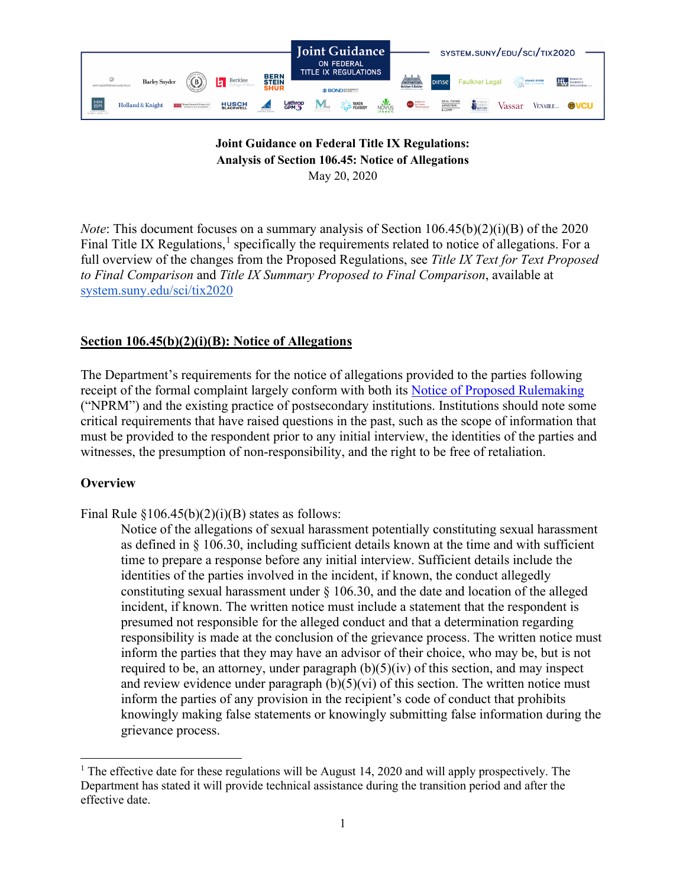

### **Joint Guidance on Federal Title IX Regulations: Analysis of Section 106.45: Notice of Allegations** May 20, 2020

*Note*: This document focuses on a summary analysis of Section 106.45(b)(2)(i)(B) of the 2020 Final Title IX Regulations, $<sup>1</sup>$  $<sup>1</sup>$  $<sup>1</sup>$  specifically the requirements related to notice of allegations. For a</sup> full overview of the changes from the Proposed Regulations, see *Title IX Text for Text Proposed to Final Comparison* and *Title IX Summary Proposed to Final Comparison*, available at [system.suny.edu/sci/tix2020](https://system.suny.edu/sci/tix2020/)

# **Section 106.45(b)(2)(i)(B): Notice of Allegations**

The Department's requirements for the notice of allegations provided to the parties following receipt of the formal complaint largely conform with both its [Notice of Proposed Rulemaking](https://www.federalregister.gov/documents/2018/11/29/2018-25314/nondiscrimination-on-the-basis-of-sex-in-education-programs-or-activities-receiving-federal) ("NPRM") and the existing practice of postsecondary institutions. Institutions should note some critical requirements that have raised questions in the past, such as the scope of information that must be provided to the respondent prior to any initial interview, the identities of the parties and witnesses, the presumption of non-responsibility, and the right to be free of retaliation.

## **Overview**

Final Rule  $\S 106.45(b)(2)(i)(B)$  states as follows:

Notice of the allegations of sexual harassment potentially constituting sexual harassment as defined in § 106.30, including sufficient details known at the time and with sufficient time to prepare a response before any initial interview. Sufficient details include the identities of the parties involved in the incident, if known, the conduct allegedly constituting sexual harassment under § 106.30, and the date and location of the alleged incident, if known. The written notice must include a statement that the respondent is presumed not responsible for the alleged conduct and that a determination regarding responsibility is made at the conclusion of the grievance process. The written notice must inform the parties that they may have an advisor of their choice, who may be, but is not required to be, an attorney, under paragraph  $(b)(5)(iv)$  of this section, and may inspect and review evidence under paragraph  $(b)(5)(vi)$  of this section. The written notice must inform the parties of any provision in the recipient's code of conduct that prohibits knowingly making false statements or knowingly submitting false information during the grievance process.

<span id="page-0-0"></span><sup>&</sup>lt;sup>1</sup> The effective date for these regulations will be August 14, 2020 and will apply prospectively. The Department has stated it will provide technical assistance during the transition period and after the effective date.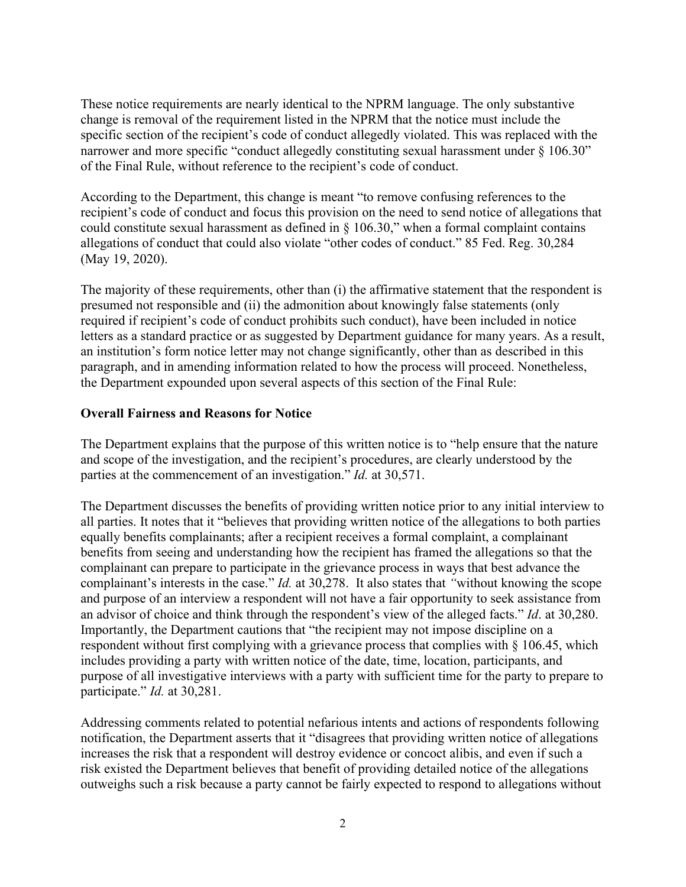These notice requirements are nearly identical to the NPRM language. The only substantive change is removal of the requirement listed in the NPRM that the notice must include the specific section of the recipient's code of conduct allegedly violated. This was replaced with the narrower and more specific "conduct allegedly constituting sexual harassment under § 106.30" of the Final Rule, without reference to the recipient's code of conduct.

According to the Department, this change is meant "to remove confusing references to the recipient's code of conduct and focus this provision on the need to send notice of allegations that could constitute sexual harassment as defined in § 106.30," when a formal complaint contains allegations of conduct that could also violate "other codes of conduct." 85 Fed. Reg. 30,284 (May 19, 2020).

The majority of these requirements, other than (i) the affirmative statement that the respondent is presumed not responsible and (ii) the admonition about knowingly false statements (only required if recipient's code of conduct prohibits such conduct), have been included in notice letters as a standard practice or as suggested by Department guidance for many years. As a result, an institution's form notice letter may not change significantly, other than as described in this paragraph, and in amending information related to how the process will proceed. Nonetheless, the Department expounded upon several aspects of this section of the Final Rule:

### **Overall Fairness and Reasons for Notice**

The Department explains that the purpose of this written notice is to "help ensure that the nature and scope of the investigation, and the recipient's procedures, are clearly understood by the parties at the commencement of an investigation." *Id.* at 30,571.

The Department discusses the benefits of providing written notice prior to any initial interview to all parties. It notes that it "believes that providing written notice of the allegations to both parties equally benefits complainants; after a recipient receives a formal complaint, a complainant benefits from seeing and understanding how the recipient has framed the allegations so that the complainant can prepare to participate in the grievance process in ways that best advance the complainant's interests in the case." *Id.* at 30,278. It also states that *"*without knowing the scope and purpose of an interview a respondent will not have a fair opportunity to seek assistance from an advisor of choice and think through the respondent's view of the alleged facts." *Id*. at 30,280. Importantly, the Department cautions that "the recipient may not impose discipline on a respondent without first complying with a grievance process that complies with § 106.45, which includes providing a party with written notice of the date, time, location, participants, and purpose of all investigative interviews with a party with sufficient time for the party to prepare to participate." *Id.* at 30,281.

Addressing comments related to potential nefarious intents and actions of respondents following notification, the Department asserts that it "disagrees that providing written notice of allegations increases the risk that a respondent will destroy evidence or concoct alibis, and even if such a risk existed the Department believes that benefit of providing detailed notice of the allegations outweighs such a risk because a party cannot be fairly expected to respond to allegations without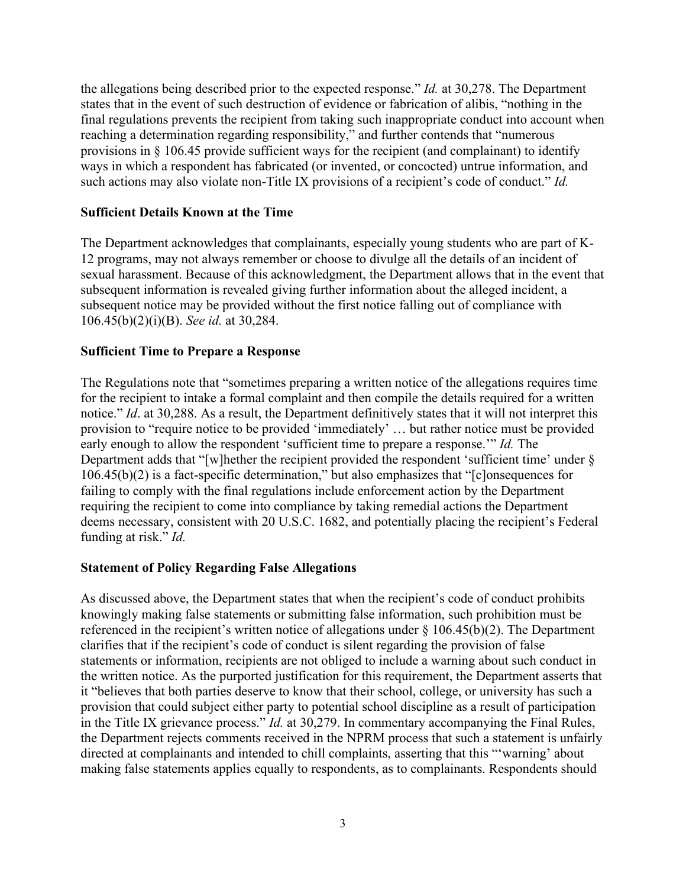the allegations being described prior to the expected response." *Id.* at 30,278. The Department states that in the event of such destruction of evidence or fabrication of alibis, "nothing in the final regulations prevents the recipient from taking such inappropriate conduct into account when reaching a determination regarding responsibility," and further contends that "numerous provisions in § 106.45 provide sufficient ways for the recipient (and complainant) to identify ways in which a respondent has fabricated (or invented, or concocted) untrue information, and such actions may also violate non-Title IX provisions of a recipient's code of conduct." *Id.*

#### **Sufficient Details Known at the Time**

The Department acknowledges that complainants, especially young students who are part of K-12 programs, may not always remember or choose to divulge all the details of an incident of sexual harassment. Because of this acknowledgment, the Department allows that in the event that subsequent information is revealed giving further information about the alleged incident, a subsequent notice may be provided without the first notice falling out of compliance with 106.45(b)(2)(i)(B). *See id.* at 30,284.

### **Sufficient Time to Prepare a Response**

The Regulations note that "sometimes preparing a written notice of the allegations requires time for the recipient to intake a formal complaint and then compile the details required for a written notice." *Id*. at 30,288. As a result, the Department definitively states that it will not interpret this provision to "require notice to be provided 'immediately' … but rather notice must be provided early enough to allow the respondent 'sufficient time to prepare a response.'" *Id.* The Department adds that "[w]hether the recipient provided the respondent 'sufficient time' under § 106.45(b)(2) is a fact-specific determination," but also emphasizes that "[c]onsequences for failing to comply with the final regulations include enforcement action by the Department requiring the recipient to come into compliance by taking remedial actions the Department deems necessary, consistent with 20 U.S.C. 1682, and potentially placing the recipient's Federal funding at risk." *Id.*

## **Statement of Policy Regarding False Allegations**

As discussed above, the Department states that when the recipient's code of conduct prohibits knowingly making false statements or submitting false information, such prohibition must be referenced in the recipient's written notice of allegations under  $\S$  106.45(b)(2). The Department clarifies that if the recipient's code of conduct is silent regarding the provision of false statements or information, recipients are not obliged to include a warning about such conduct in the written notice. As the purported justification for this requirement, the Department asserts that it "believes that both parties deserve to know that their school, college, or university has such a provision that could subject either party to potential school discipline as a result of participation in the Title IX grievance process." *Id.* at 30,279. In commentary accompanying the Final Rules, the Department rejects comments received in the NPRM process that such a statement is unfairly directed at complainants and intended to chill complaints, asserting that this "'warning' about making false statements applies equally to respondents, as to complainants. Respondents should